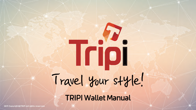# Travel Your style!

TRIPI Wallet Manual

2019 Copyright©TRIPI All rights reserved.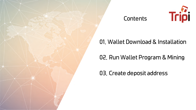

#### **Contents**



# 01. Wallet Download & Installation

# 02. Run Wallet Program & Mining

03. Create deposit address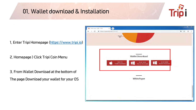

1. Enter Tripi Homepage [\(https://www.tripi.io\)](https://www.tripi.io/)

2. Homepage > Click Tripi Coin Menu

3. From Wallet Download at the bottom of The page Download your wallet for your OS

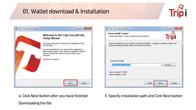



4. Click Next button after you have finished

Downloading the file

5. Specify installation path and Click Next button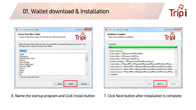

| <b>Choose Start Menu Folder</b>                                   |                                                                                             |  |  |  |
|-------------------------------------------------------------------|---------------------------------------------------------------------------------------------|--|--|--|
| Choose a Start Menu folder for the Tripi Core (64-bit) shortcuts. |                                                                                             |  |  |  |
|                                                                   | Select the Start Menu folder in which you would like to create the program's shortcuts. You |  |  |  |
| can also enter a name to create a new folder.                     |                                                                                             |  |  |  |
| <b>Tripi Core</b>                                                 |                                                                                             |  |  |  |
| <b>1gram</b>                                                      | ×.                                                                                          |  |  |  |
| <b>Accessories</b>                                                |                                                                                             |  |  |  |
| <b>Administrative Tools</b>                                       | <b>ITT</b>                                                                                  |  |  |  |
| Ahnl ab                                                           |                                                                                             |  |  |  |
| <b>AMD Settings</b>                                               |                                                                                             |  |  |  |
| D'Amo WebCrypto<br>DTS+AC3 필터                                     |                                                                                             |  |  |  |
| <b>FORCS</b>                                                      |                                                                                             |  |  |  |
| Games                                                             |                                                                                             |  |  |  |
| <b>GOM</b>                                                        |                                                                                             |  |  |  |
| HP.                                                               |                                                                                             |  |  |  |
| Do not create shortcuts                                           |                                                                                             |  |  |  |
|                                                                   |                                                                                             |  |  |  |
|                                                                   |                                                                                             |  |  |  |

6. Name the startup program and Click Install button 7. Click Next button after installation is complete

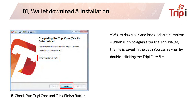

| Tripi Core (64-bit) Setup | $\blacksquare$                                                                                 |  |  |  |
|---------------------------|------------------------------------------------------------------------------------------------|--|--|--|
|                           | <b>Completing the Tripi Core (64-bit)</b><br><b>Setup Wizard</b>                               |  |  |  |
|                           | Tripi Core (64-bit) has been installed on your computer.<br>Click Finish to close this wizard. |  |  |  |
|                           | Run Tripi Core (64-bit)                                                                        |  |  |  |
|                           | Finish<br>$<$ Back<br>Cancel                                                                   |  |  |  |

8. Check Run Tripi Core and Click Finish Button

\* Wallet download and installation is complete \* When running again after the Tripi wallet, the file is saved in the path You can re-run by double-clicking the Tripi Core file.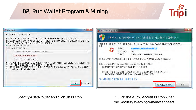#### 02. Run Wallet Program & Mining



| $\mathcal{L}$<br>C 환영합니다                                                                                                                                                                                                        | $\mathbf{x}$<br>Windows 보안 경고                                                                                                                                               |  |  |
|---------------------------------------------------------------------------------------------------------------------------------------------------------------------------------------------------------------------------------|-----------------------------------------------------------------------------------------------------------------------------------------------------------------------------|--|--|
| Tripi Core에 오신것을 환영합니다.<br>프로그램이 처음으로 실행되고 있습니다. Tripi Core가 머디에 데이터를 저장할지 선택할 수 있습니다.<br>Tripi Core은 Tripi 블록 체인의 사본을 다운로드하며 저장합니다. 최소 6GB의 데미터가 미 디렉토리에 저장되며 시간미<br>지남에 따라 증가 할 것입니다. 지갑도 미 디렉토리에 저장됩니다.<br>● 기본 데이터 폴더를 사용하기 | Windows 방화벽에서 이 프로그램의 일부 기능을 차단했습니다.<br><mark>-</mark> 모든 공용 네트워크와 개인 네트워크에서 Tripi Core (GUI node for Tripi)의 일부 기능이 차단되었습<br>니다.                                           |  |  |
| 커스텀 데이터 폴더 사용:                                                                                                                                                                                                                  | 미름 $(N)$ :<br>Tripi Core (GUI node for Tripi)                                                                                                                               |  |  |
| C:WU-sersWPC21WAppDataWBoamingWTripi<br>2 GB 사용가능 (6 GB가 필요).<br>새로운 데이터 졸더가 생성됩니다.                                                                                                                                             | Tripi<br>게시자(P):<br>경로(H):<br>C:\program files\tripi\tripi-qtexe<br>미 프로그램은 인터넷에서 직접 정보를 수신하려 합니다. 방화벽을 무시할 수 있습니다.                                                         |  |  |
| 확인을 클릭하면 Tripi Core은 모든 트리피블록 체인 (5GB) 장부를 2009 안에 다운로드하고 처리하기 시작합니다. "미는<br>트리피가 시작될 때 생성된 가장 오래된 트랜잭션부터 시작합니다.<br>초기 동기화는 매우 오래 걸리며 미전에는 본 적 없는 "하드웨어 문제가 발생할 수 있습니다. Tripi Core을 실행할 때마다"<br>중단 된 곳에서 다시 계속 다운로드 됩니다.        | 다음 네트워크에서 Tripi Core (GUI node for Tripi)의 통신 허용!<br>  깨홈 네트워크, 회사 네트워크 등의 개인 네트워크(R).<br>□ 곱항, 커피숍 등의 공용 네트워크(U)(공용 네트워크는 봉압 수준이 낮거나<br>□ 로안 기술이 적용되지 않은 경우가 많으므로 권장되지 않음) |  |  |
|                                                                                                                                                                                                                                 | 방화벽을 통한 프로그램 액세스 허용의 위험성                                                                                                                                                    |  |  |
| OK<br>Cancel                                                                                                                                                                                                                    | 취소<br>B 액세스 허용(A)                                                                                                                                                           |  |  |

1. Specify a data folder and click OK button 2. Click the Allow Access button when

the Security Warning window appears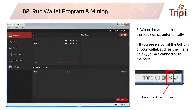## 02. Run Wallet Program & Mining





3. When the wallet is run, the block syncs automatically.

\* If you see an icon at the bottom of your wallet, such as the image below, you are connected to the node.

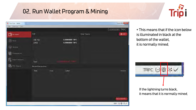## 02. Run Wallet Program & Mining



 $= 0$ **Fo** Tripi Core - Wallet Elle Settings Help 0.00000000 TRPC **To** My wallet 잔액  $\bigoplus$  ADD Other Tokens 사용 가능 0.00000000 TRPC **1** Send 미확정 0.00000000 TRPC  $\bigcirc$  Receive ig Transactions Smart Contracts Total: **S** TRC Tokens RecentTransactions Date Type Label Amount SHOW MORE. TRPC ⊖ @ \*

\* This means that if the icon below is illuminated in black at the bottom of the wallet, it is normally mined.



If the lightning turns black, it means that it is normally mined.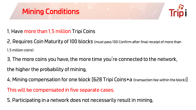



- 1. Have more than 1.5 million Tripi Coins
- 2. Requires Coin Maturity of 100 blocks (must pass 100 Confirm after final receipt of more than 1.5 million coins)
- 3. The more coins you have, the more time you're connected to the network,
- the higher the probability of mining.
- 4. Mining compensation for one block [628 Tripi Coins+a (transaction fee within the block)]
- This will be compensated in five separate cases.
- 5. Participating in a network does not necessarily result in mining.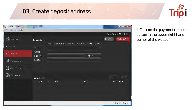#### 03. Create deposit address



| Tripi Core - Wallet         |                                                              |         |                                           |       | and Dr<br>$-x$  |
|-----------------------------|--------------------------------------------------------------|---------|-------------------------------------------|-------|-----------------|
| File Settings Help          |                                                              |         |                                           |       | 0.00000000 TRPC |
| My wallet<br>$\overline{a}$ | <b>Request data</b>                                          |         |                                           | ◎ 지무기 | $①$ 지불 요청(B)    |
| $^{\circledR}$<br>Send      | Address:                                                     |         | 지급을 요청하기 위해 마래 형식을 사용하세요. 입력값은 선택 사항 입니다. |       |                 |
| $\bigcirc$<br>Receive       | 라벨(L):<br>거래액(A):                                            |         | ł<br>TRPC<br>٠                            |       |                 |
| O<br>Transactions           | $\mathbb{H} \lambda \lambda (\underline{\mathsf{M}})\rangle$ |         |                                           |       |                 |
| e.<br>Smart Contracts       |                                                              |         |                                           |       |                 |
| é.<br><b>TRC Tokens</b>     | 지출기록 확인                                                      |         |                                           | ■ 보기  | 6 图刷            |
|                             | 날짜                                                           | 라벨<br>۰ | 메시지                                       |       | 요청됨 (TRPC)      |
|                             |                                                              |         |                                           |       |                 |
|                             |                                                              |         |                                           |       |                 |
|                             |                                                              |         |                                           |       | TRPC 〇〇ネン       |

1. Click on the payment request button in the upper right hand corner of the wallet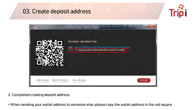#### 03. Create deposit address





2. Completed creating deposit address

\* When sending your wallet address to someone else, please copy the wallet address in the red square.